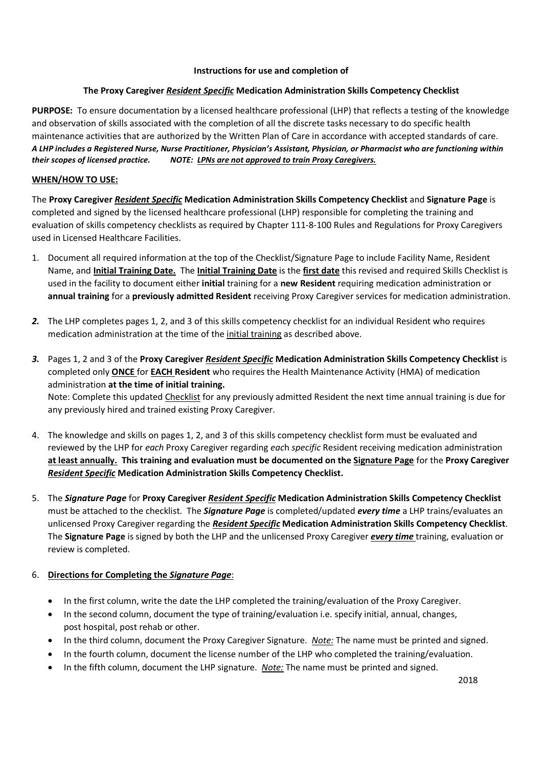#### **Instructions for use and completion of**

## **The Proxy Caregiver** *Resident Specific* **Medication Administration Skills Competency Checklist**

**PURPOSE:** To ensure documentation by a licensed healthcare professional (LHP) that reflects a testing of the knowledge and observation of skills associated with the completion of all the discrete tasks necessary to do specific health maintenance activities that are authorized by the Written Plan of Care in accordance with accepted standards of care. *A LHP includes a Registered Nurse, Nurse Practitioner, Physician's Assistant, Physician, or Pharmacist who are functioning within their scopes of licensed practice. NOTE: LPNs are not approved to train Proxy Caregivers.*

## **WHEN/HOW TO USE:**

The **Proxy Caregiver** *Resident Specific* **Medication Administration Skills Competency Checklist** and **Signature Page** is completed and signed by the licensed healthcare professional (LHP) responsible for completing the training and evaluation of skills competency checklists as required by Chapter 111-8-100 Rules and Regulations for Proxy Caregivers used in Licensed Healthcare Facilities.

- 1. Document all required information at the top of the Checklist/Signature Page to include Facility Name, Resident Name, and **Initial Training Date.** The **Initial Training Date** is the **first date** this revised and required Skills Checklist is used in the facility to document either **initial** training for a **new Resident** requiring medication administration or **annual training** for a **previously admitted Resident** receiving Proxy Caregiver services for medication administration.
- *2.* The LHP completes pages 1, 2, and 3 of this skills competency checklist for an individual Resident who requires medication administration at the time of the initial training as described above.
- *3.* Pages 1, 2 and 3 of the **Proxy Caregiver** *Resident Specific* **Medication Administration Skills Competency Checklist** is completed only **ONCE** for **EACH Resident** who requires the Health Maintenance Activity (HMA) of medication administration **at the time of initial training.** Note: Complete this updated Checklist for any previously admitted Resident the next time annual training is due for any previously hired and trained existing Proxy Caregiver.
- 4. The knowledge and skills on pages 1, 2, and 3 of this skills competency checklist form must be evaluated and reviewed by the LHP for *each* Proxy Caregiver regarding *eac*h *specific* Resident receiving medication administration **at least annually. This training and evaluation must be documented on the Signature Page** for the **Proxy Caregiver** *Resident Specific* **Medication Administration Skills Competency Checklist.**
- 5. The *Signature Page* for **Proxy Caregiver** *Resident Specific* **Medication Administration Skills Competency Checklist** must be attached to the checklist. The *Signature Page* is completed/updated *every time* a LHP trains/evaluates an unlicensed Proxy Caregiver regarding the *Resident Specific* **Medication Administration Skills Competency Checklist**. The **Signature Page** is signed by both the LHP and the unlicensed Proxy Caregiver *every time* training, evaluation or review is completed.

#### 6. **Directions for Completing the** *Signature Page*:

- In the first column, write the date the LHP completed the training/evaluation of the Proxy Caregiver.
- In the second column, document the type of training/evaluation i.e. specify initial, annual, changes, post hospital, post rehab or other.
- In the third column, document the Proxy Caregiver Signature. *Note:* The name must be printed and signed.
- In the fourth column, document the license number of the LHP who completed the training/evaluation.
- In the fifth column, document the LHP signature. *Note:* The name must be printed and signed.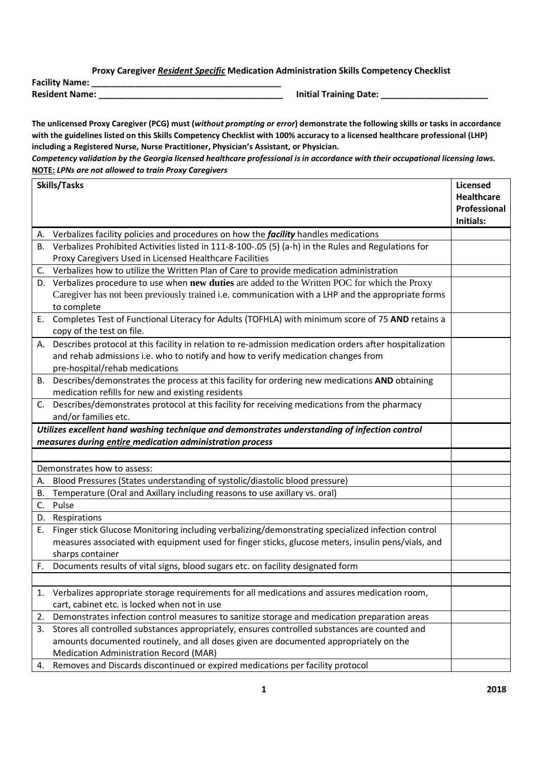**Proxy Caregiver** *Resident Specific* **Medication Administration Skills Competency Checklist**

**Facility Name: \_\_\_\_\_\_\_\_\_\_\_\_\_\_\_\_\_\_\_\_\_\_\_\_\_\_\_\_\_\_\_\_\_\_\_\_\_\_\_**

**Resident Name: \_\_\_\_\_\_\_\_\_\_\_\_\_\_\_\_\_\_\_\_\_\_\_\_\_\_\_\_\_\_\_\_\_\_\_\_\_\_ Initial Training Date: \_\_\_\_\_\_\_\_\_\_\_\_\_\_\_\_\_\_\_\_\_\_**

**The unlicensed Proxy Caregiver (PCG) must (***without prompting or error***) demonstrate the following skills or tasks in accordance with the guidelines listed on this Skills Competency Checklist with 100% accuracy to a licensed healthcare professional (LHP) including a Registered Nurse, Nurse Practitioner, Physician's Assistant, or Physician.**

*Competency validation by the Georgia licensed healthcare professional is in accordance with their occupational licensing laws.* **NOTE:** *LPNs are not allowed to train Proxy Caregivers*

| Skills/Tasks |                                                                                                            | <b>Licensed</b>   |
|--------------|------------------------------------------------------------------------------------------------------------|-------------------|
|              |                                                                                                            | <b>Healthcare</b> |
|              |                                                                                                            | Professional      |
|              |                                                                                                            | Initials:         |
| А.           | Verbalizes facility policies and procedures on how the <i>facility</i> handles medications                 |                   |
| В.           | Verbalizes Prohibited Activities listed in 111-8-100-.05 (5) (a-h) in the Rules and Regulations for        |                   |
|              | Proxy Caregivers Used in Licensed Healthcare Facilities                                                    |                   |
|              | C. Verbalizes how to utilize the Written Plan of Care to provide medication administration                 |                   |
|              | D. Verbalizes procedure to use when new duties are added to the Written POC for which the Proxy            |                   |
|              | Caregiver has not been previously trained i.e. communication with a LHP and the appropriate forms          |                   |
|              | to complete                                                                                                |                   |
| Е.           | Completes Test of Functional Literacy for Adults (TOFHLA) with minimum score of 75 AND retains a           |                   |
|              | copy of the test on file.                                                                                  |                   |
|              | A. Describes protocol at this facility in relation to re-admission medication orders after hospitalization |                   |
|              | and rehab admissions i.e. who to notify and how to verify medication changes from                          |                   |
|              | pre-hospital/rehab medications                                                                             |                   |
|              | B. Describes/demonstrates the process at this facility for ordering new medications AND obtaining          |                   |
|              | medication refills for new and existing residents                                                          |                   |
| C.           | Describes/demonstrates protocol at this facility for receiving medications from the pharmacy               |                   |
|              | and/or families etc.                                                                                       |                   |
|              | Utilizes excellent hand washing technique and demonstrates understanding of infection control              |                   |
|              | measures during entire medication administration process                                                   |                   |
|              |                                                                                                            |                   |
|              | Demonstrates how to assess:                                                                                |                   |
| А.           | Blood Pressures (States understanding of systolic/diastolic blood pressure)                                |                   |
| В.           | Temperature (Oral and Axillary including reasons to use axillary vs. oral)                                 |                   |
| C.           | Pulse                                                                                                      |                   |
|              | D. Respirations                                                                                            |                   |
| Е.           | Finger stick Glucose Monitoring including verbalizing/demonstrating specialized infection control          |                   |
|              | measures associated with equipment used for finger sticks, glucose meters, insulin pens/vials, and         |                   |
|              | sharps container                                                                                           |                   |
| F.           | Documents results of vital signs, blood sugars etc. on facility designated form                            |                   |
|              |                                                                                                            |                   |
| 1.           | Verbalizes appropriate storage requirements for all medications and assures medication room,               |                   |
|              | cart, cabinet etc. is locked when not in use                                                               |                   |
| 2.           | Demonstrates infection control measures to sanitize storage and medication preparation areas               |                   |
| 3.           | Stores all controlled substances appropriately, ensures controlled substances are counted and              |                   |
|              | amounts documented routinely, and all doses given are documented appropriately on the                      |                   |
|              | Medication Administration Record (MAR)                                                                     |                   |
|              | 4. Removes and Discards discontinued or expired medications per facility protocol                          |                   |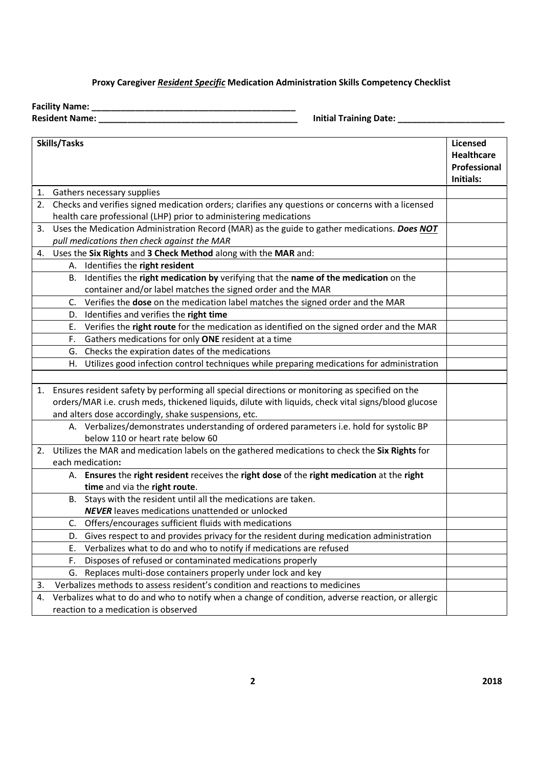# **Proxy Caregiver** *Resident Specific* **Medication Administration Skills Competency Checklist**

**Facility Name: \_\_\_\_\_\_\_\_\_\_\_\_\_\_\_\_\_\_\_\_\_\_\_\_\_\_\_\_\_\_\_\_\_\_\_\_\_\_\_\_\_\_**

**Resident Name: \_\_\_\_\_\_\_\_\_\_\_\_\_\_\_\_\_\_\_\_\_\_\_\_\_\_\_\_\_\_\_\_\_\_\_\_\_\_\_\_\_ Initial Training Date: \_\_\_\_\_\_\_\_\_\_\_\_\_\_\_\_\_\_\_\_\_\_**

| Skills/Tasks |                                                                                                     |                   |  |  |  |
|--------------|-----------------------------------------------------------------------------------------------------|-------------------|--|--|--|
|              |                                                                                                     | <b>Healthcare</b> |  |  |  |
|              |                                                                                                     | Professional      |  |  |  |
|              |                                                                                                     | Initials:         |  |  |  |
|              | 1. Gathers necessary supplies                                                                       |                   |  |  |  |
| 2.           | Checks and verifies signed medication orders; clarifies any questions or concerns with a licensed   |                   |  |  |  |
|              | health care professional (LHP) prior to administering medications                                   |                   |  |  |  |
| 3.           | Uses the Medication Administration Record (MAR) as the guide to gather medications. Does NOT        |                   |  |  |  |
|              | pull medications then check against the MAR                                                         |                   |  |  |  |
| 4.           | Uses the Six Rights and 3 Check Method along with the MAR and:                                      |                   |  |  |  |
|              | Identifies the right resident<br>А.                                                                 |                   |  |  |  |
|              | Identifies the right medication by verifying that the name of the medication on the<br>В.           |                   |  |  |  |
|              | container and/or label matches the signed order and the MAR                                         |                   |  |  |  |
|              | C.<br>Verifies the dose on the medication label matches the signed order and the MAR                |                   |  |  |  |
|              | Identifies and verifies the right time<br>D.                                                        |                   |  |  |  |
|              | Verifies the right route for the medication as identified on the signed order and the MAR<br>Е.     |                   |  |  |  |
|              | Gathers medications for only ONE resident at a time<br>F.                                           |                   |  |  |  |
|              | Checks the expiration dates of the medications<br>G.                                                |                   |  |  |  |
|              | Utilizes good infection control techniques while preparing medications for administration<br>H.     |                   |  |  |  |
|              |                                                                                                     |                   |  |  |  |
|              | 1. Ensures resident safety by performing all special directions or monitoring as specified on the   |                   |  |  |  |
|              | orders/MAR i.e. crush meds, thickened liquids, dilute with liquids, check vital signs/blood glucose |                   |  |  |  |
|              | and alters dose accordingly, shake suspensions, etc.                                                |                   |  |  |  |
|              | A. Verbalizes/demonstrates understanding of ordered parameters i.e. hold for systolic BP            |                   |  |  |  |
|              | below 110 or heart rate below 60                                                                    |                   |  |  |  |
| 2.           | Utilizes the MAR and medication labels on the gathered medications to check the Six Rights for      |                   |  |  |  |
|              | each medication:                                                                                    |                   |  |  |  |
|              | A. Ensures the right resident receives the right dose of the right medication at the right          |                   |  |  |  |
|              | time and via the right route.                                                                       |                   |  |  |  |
|              | Stays with the resident until all the medications are taken.<br>В.                                  |                   |  |  |  |
|              | <b>NEVER</b> leaves medications unattended or unlocked                                              |                   |  |  |  |
|              | Offers/encourages sufficient fluids with medications<br>C.                                          |                   |  |  |  |
|              | Gives respect to and provides privacy for the resident during medication administration<br>D.       |                   |  |  |  |
|              | Verbalizes what to do and who to notify if medications are refused<br>Е.                            |                   |  |  |  |
|              | Disposes of refused or contaminated medications properly<br>F.                                      |                   |  |  |  |
|              | Replaces multi-dose containers properly under lock and key<br>G.                                    |                   |  |  |  |
| 3.           | Verbalizes methods to assess resident's condition and reactions to medicines                        |                   |  |  |  |
| 4.           | Verbalizes what to do and who to notify when a change of condition, adverse reaction, or allergic   |                   |  |  |  |
|              | reaction to a medication is observed                                                                |                   |  |  |  |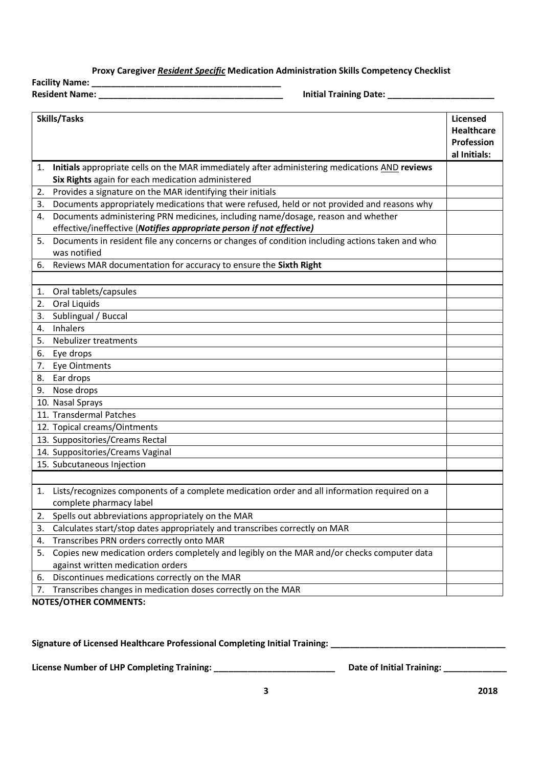#### **Proxy Caregiver** *Resident Specific* **Medication Administration Skills Competency Checklist**

**Facility Name: \_\_\_\_\_\_\_\_\_\_\_\_\_\_\_\_\_\_\_\_\_\_\_\_\_\_\_\_\_\_\_\_\_\_\_\_\_\_\_ Resident Name: \_\_\_\_\_\_\_\_\_\_\_\_\_\_\_\_\_\_\_\_\_\_\_\_\_\_\_\_\_\_\_\_\_\_\_\_\_\_ Initial Training Date: \_\_\_\_\_\_\_\_\_\_\_\_\_\_\_\_\_\_\_\_\_\_**

| <b>Skills/Tasks</b> |                                                                                                 |              |
|---------------------|-------------------------------------------------------------------------------------------------|--------------|
|                     |                                                                                                 |              |
|                     |                                                                                                 | Profession   |
|                     |                                                                                                 | al Initials: |
| 1.                  | Initials appropriate cells on the MAR immediately after administering medications AND reviews   |              |
|                     | Six Rights again for each medication administered                                               |              |
| 2.                  | Provides a signature on the MAR identifying their initials                                      |              |
| 3.                  | Documents appropriately medications that were refused, held or not provided and reasons why     |              |
| 4.                  | Documents administering PRN medicines, including name/dosage, reason and whether                |              |
|                     | effective/ineffective (Notifies appropriate person if not effective)                            |              |
| 5.                  | Documents in resident file any concerns or changes of condition including actions taken and who |              |
|                     | was notified                                                                                    |              |
| 6.                  | Reviews MAR documentation for accuracy to ensure the Sixth Right                                |              |
|                     |                                                                                                 |              |
| 1.                  | Oral tablets/capsules                                                                           |              |
| 2.                  | Oral Liquids                                                                                    |              |
| 3.                  | Sublingual / Buccal                                                                             |              |
| 4.                  | Inhalers                                                                                        |              |
| 5.                  | Nebulizer treatments                                                                            |              |
| 6.                  | Eye drops                                                                                       |              |
| 7.                  | Eye Ointments                                                                                   |              |
| 8.                  | Ear drops                                                                                       |              |
| 9.                  | Nose drops                                                                                      |              |
|                     | 10. Nasal Sprays                                                                                |              |
|                     | 11. Transdermal Patches                                                                         |              |
|                     | 12. Topical creams/Ointments                                                                    |              |
|                     | 13. Suppositories/Creams Rectal                                                                 |              |
|                     | 14. Suppositories/Creams Vaginal                                                                |              |
|                     | 15. Subcutaneous Injection                                                                      |              |
|                     |                                                                                                 |              |
| 1.                  | Lists/recognizes components of a complete medication order and all information required on a    |              |
|                     | complete pharmacy label                                                                         |              |
| 2.                  | Spells out abbreviations appropriately on the MAR                                               |              |
| 3.                  | Calculates start/stop dates appropriately and transcribes correctly on MAR                      |              |
| 4.                  | Transcribes PRN orders correctly onto MAR                                                       |              |
| 5.                  | Copies new medication orders completely and legibly on the MAR and/or checks computer data      |              |
|                     | against written medication orders                                                               |              |
| 6.                  | Discontinues medications correctly on the MAR                                                   |              |
| 7.                  | Transcribes changes in medication doses correctly on the MAR                                    |              |

**NOTES/OTHER COMMENTS:**

Signature of Licensed Healthcare Professional Completing Initial Training: \_\_\_\_\_\_\_\_\_\_\_\_\_\_\_\_\_\_\_\_\_\_\_\_\_\_\_\_\_\_\_\_\_\_\_

**License Number of LHP Completing Training: \_\_\_\_\_\_\_\_\_\_\_\_\_\_\_\_\_\_\_\_\_\_\_\_\_ Date of Initial Training: \_\_\_\_\_\_\_\_\_\_\_\_\_**